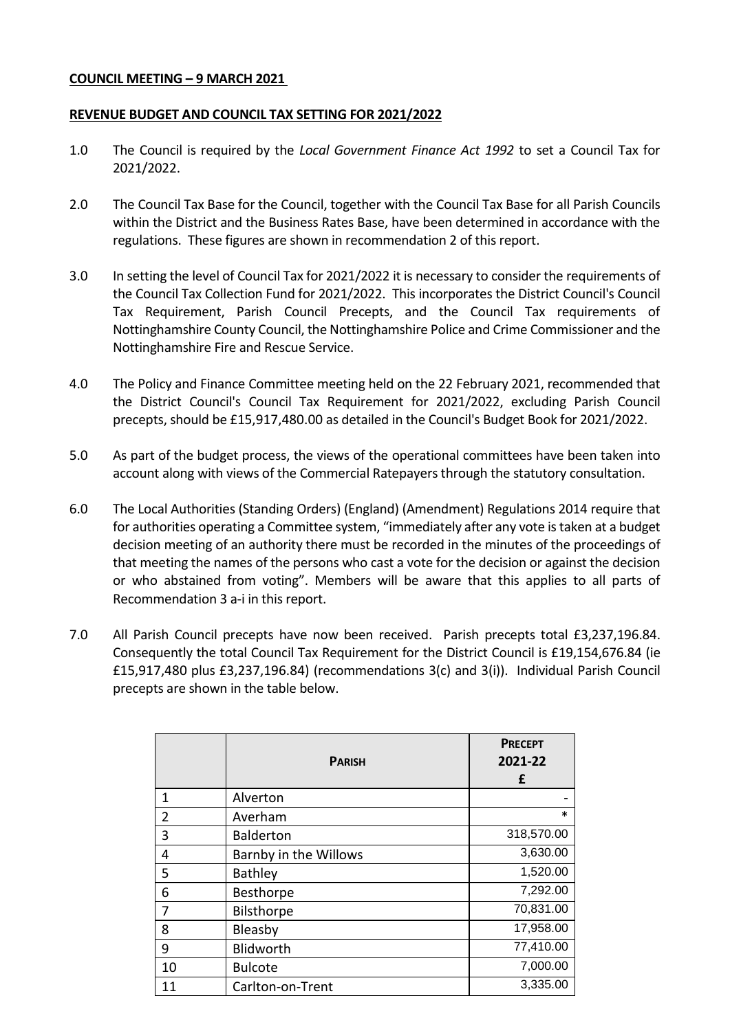### **COUNCIL MEETING – 9 MARCH 2021**

### **REVENUE BUDGET AND COUNCIL TAX SETTING FOR 2021/2022**

- 1.0 The Council is required by the *Local Government Finance Act 1992* to set a Council Tax for 2021/2022.
- 2.0 The Council Tax Base for the Council, together with the Council Tax Base for all Parish Councils within the District and the Business Rates Base, have been determined in accordance with the regulations. These figures are shown in recommendation 2 of this report.
- 3.0 In setting the level of Council Tax for 2021/2022 it is necessary to consider the requirements of the Council Tax Collection Fund for 2021/2022. This incorporates the District Council's Council Tax Requirement, Parish Council Precepts, and the Council Tax requirements of Nottinghamshire County Council, the Nottinghamshire Police and Crime Commissioner and the Nottinghamshire Fire and Rescue Service.
- 4.0 The Policy and Finance Committee meeting held on the 22 February 2021, recommended that the District Council's Council Tax Requirement for 2021/2022, excluding Parish Council precepts, should be £15,917,480.00 as detailed in the Council's Budget Book for 2021/2022.
- 5.0 As part of the budget process, the views of the operational committees have been taken into account along with views of the Commercial Ratepayers through the statutory consultation.
- 6.0 The Local Authorities (Standing Orders) (England) (Amendment) Regulations 2014 require that for authorities operating a Committee system, "immediately after any vote is taken at a budget decision meeting of an authority there must be recorded in the minutes of the proceedings of that meeting the names of the persons who cast a vote for the decision or against the decision or who abstained from voting". Members will be aware that this applies to all parts of Recommendation 3 a-i in this report.
- 7.0 All Parish Council precepts have now been received. Parish precepts total £3,237,196.84. Consequently the total Council Tax Requirement for the District Council is £19,154,676.84 (ie £15,917,480 plus £3,237,196.84) (recommendations 3(c) and 3(i)). Individual Parish Council precepts are shown in the table below.

|                | <b>PARISH</b>         | <b>PRECEPT</b><br>2021-22<br>£ |
|----------------|-----------------------|--------------------------------|
| 1              | Alverton              |                                |
| $\overline{2}$ | Averham               | *                              |
| 3              | <b>Balderton</b>      | 318,570.00                     |
| 4              | Barnby in the Willows | 3,630.00                       |
| 5              | <b>Bathley</b>        | 1,520.00                       |
| 6              | Besthorpe             | 7,292.00                       |
| 7              | Bilsthorpe            | 70,831.00                      |
| 8              | Bleasby               | 17,958.00                      |
| 9              | Blidworth             | 77,410.00                      |
| 10             | <b>Bulcote</b>        | 7,000.00                       |
| 11             | Carlton-on-Trent      | 3,335.00                       |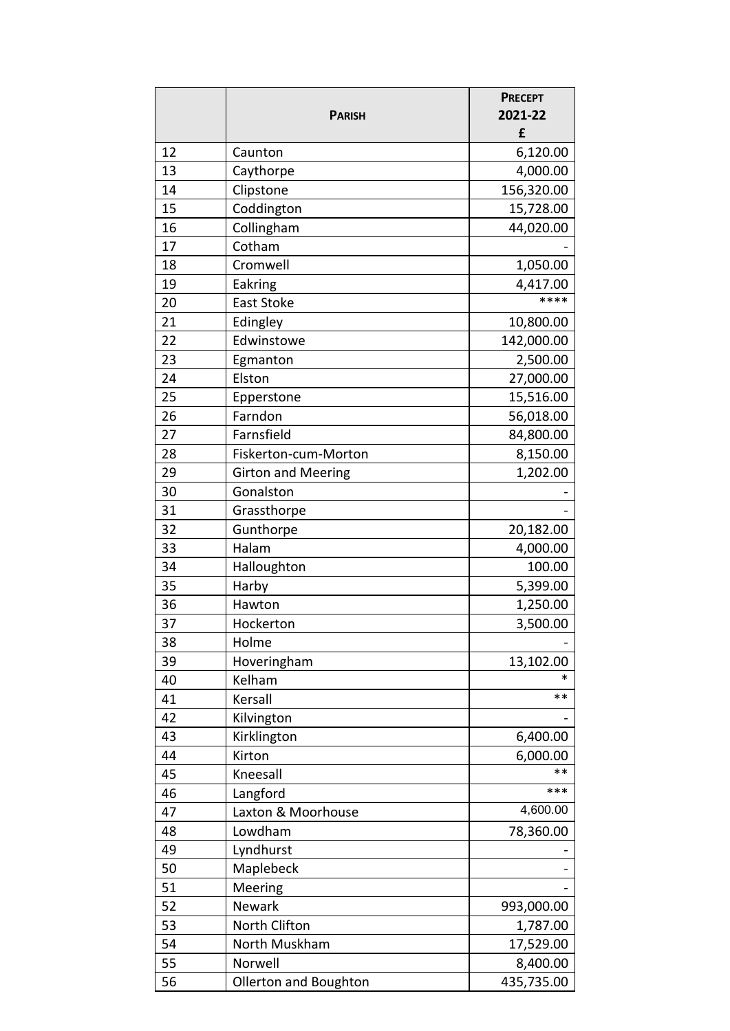|    | <b>PARISH</b>             | <b>PRECEPT</b><br>2021-22 |
|----|---------------------------|---------------------------|
|    |                           | £                         |
| 12 | Caunton                   | 6,120.00                  |
| 13 | Caythorpe                 | 4,000.00                  |
| 14 | Clipstone                 | 156,320.00                |
| 15 | Coddington                | 15,728.00                 |
| 16 | Collingham                | 44,020.00                 |
| 17 | Cotham                    |                           |
| 18 | Cromwell                  | 1,050.00                  |
| 19 | Eakring                   | 4,417.00                  |
| 20 | East Stoke                | ****                      |
| 21 | Edingley                  | 10,800.00                 |
| 22 | Edwinstowe                | 142,000.00                |
| 23 | Egmanton                  | 2,500.00                  |
| 24 | Elston                    | 27,000.00                 |
| 25 | Epperstone                | 15,516.00                 |
| 26 | Farndon                   | 56,018.00                 |
| 27 | Farnsfield                | 84,800.00                 |
| 28 | Fiskerton-cum-Morton      | 8,150.00                  |
| 29 | <b>Girton and Meering</b> | 1,202.00                  |
| 30 | Gonalston                 |                           |
| 31 | Grassthorpe               |                           |
| 32 | Gunthorpe                 | 20,182.00                 |
| 33 | Halam                     | 4,000.00                  |
| 34 | Halloughton               | 100.00                    |
| 35 | Harby                     | 5,399.00                  |
| 36 | Hawton                    | 1,250.00                  |
| 37 | Hockerton                 | 3,500.00                  |
| 38 | Holme                     |                           |
| 39 | Hoveringham               | 13,102.00                 |
| 40 | Kelham                    | *                         |
| 41 | Kersall                   | $***$                     |
| 42 | Kilvington                |                           |
| 43 | Kirklington               | 6,400.00                  |
| 44 | Kirton                    | 6,000.00                  |
| 45 | Kneesall                  | $***$                     |
| 46 | Langford                  | ***                       |
| 47 | Laxton & Moorhouse        | 4,600.00                  |
| 48 | Lowdham                   | 78,360.00                 |
| 49 | Lyndhurst                 |                           |
| 50 | Maplebeck                 |                           |
| 51 | Meering                   |                           |
| 52 | <b>Newark</b>             | 993,000.00                |
| 53 | North Clifton             | 1,787.00                  |
| 54 | North Muskham             | 17,529.00                 |
| 55 | Norwell                   | 8,400.00                  |
| 56 | Ollerton and Boughton     | 435,735.00                |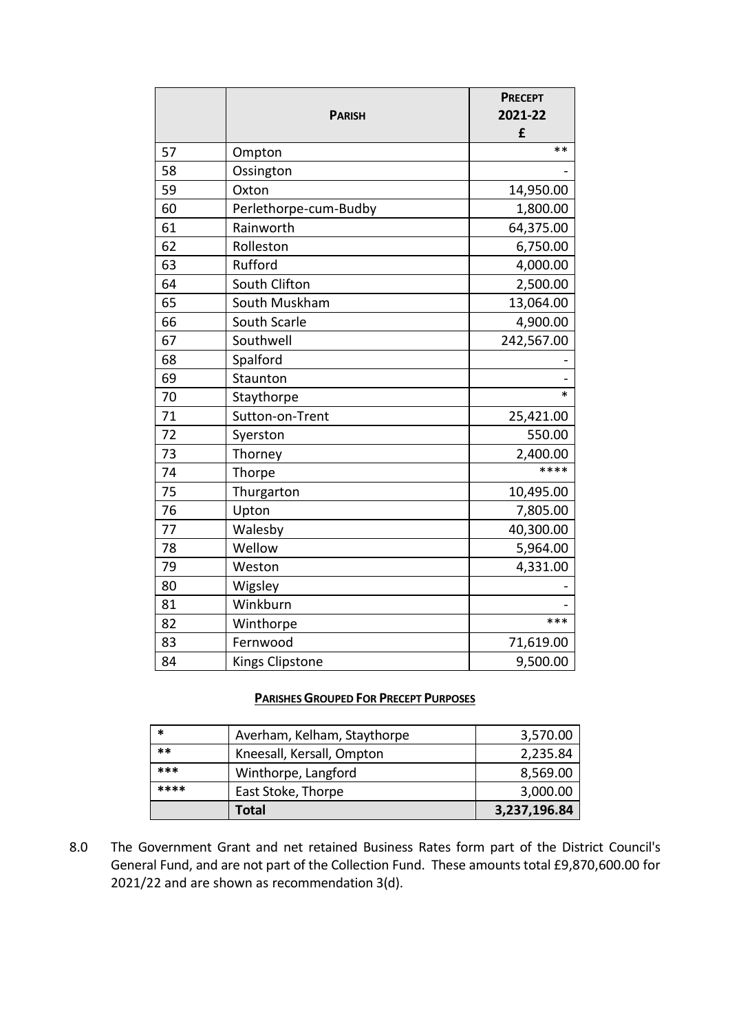|    |                        | <b>PRECEPT</b> |
|----|------------------------|----------------|
|    | <b>PARISH</b>          | 2021-22        |
|    |                        | £              |
| 57 | Ompton                 | $**$           |
| 58 | Ossington              |                |
| 59 | Oxton                  | 14,950.00      |
| 60 | Perlethorpe-cum-Budby  | 1,800.00       |
| 61 | Rainworth              | 64,375.00      |
| 62 | Rolleston              | 6,750.00       |
| 63 | Rufford                | 4,000.00       |
| 64 | South Clifton          | 2,500.00       |
| 65 | South Muskham          | 13,064.00      |
| 66 | South Scarle           | 4,900.00       |
| 67 | Southwell              | 242,567.00     |
| 68 | Spalford               |                |
| 69 | Staunton               |                |
| 70 | Staythorpe             | *              |
| 71 | Sutton-on-Trent        | 25,421.00      |
| 72 | Syerston               | 550.00         |
| 73 | Thorney                | 2,400.00       |
| 74 | Thorpe                 | ****           |
| 75 | Thurgarton             | 10,495.00      |
| 76 | Upton                  | 7,805.00       |
| 77 | Walesby                | 40,300.00      |
| 78 | Wellow                 | 5,964.00       |
| 79 | Weston                 | 4,331.00       |
| 80 | Wigsley                |                |
| 81 | Winkburn               |                |
| 82 | Winthorpe              | ***            |
| 83 | Fernwood               | 71,619.00      |
| 84 | <b>Kings Clipstone</b> | 9,500.00       |

## **PARISHES GROUPED FOR PRECEPT PURPOSES**

| *    | Averham, Kelham, Staythorpe | 3,570.00     |
|------|-----------------------------|--------------|
| **   | Kneesall, Kersall, Ompton   | 2,235.84     |
| ***  | Winthorpe, Langford         | 8,569.00     |
| **** | East Stoke, Thorpe          | 3,000.00     |
|      | Total                       | 3,237,196.84 |

8.0 The Government Grant and net retained Business Rates form part of the District Council's General Fund, and are not part of the Collection Fund. These amounts total £9,870,600.00 for 2021/22 and are shown as recommendation 3(d).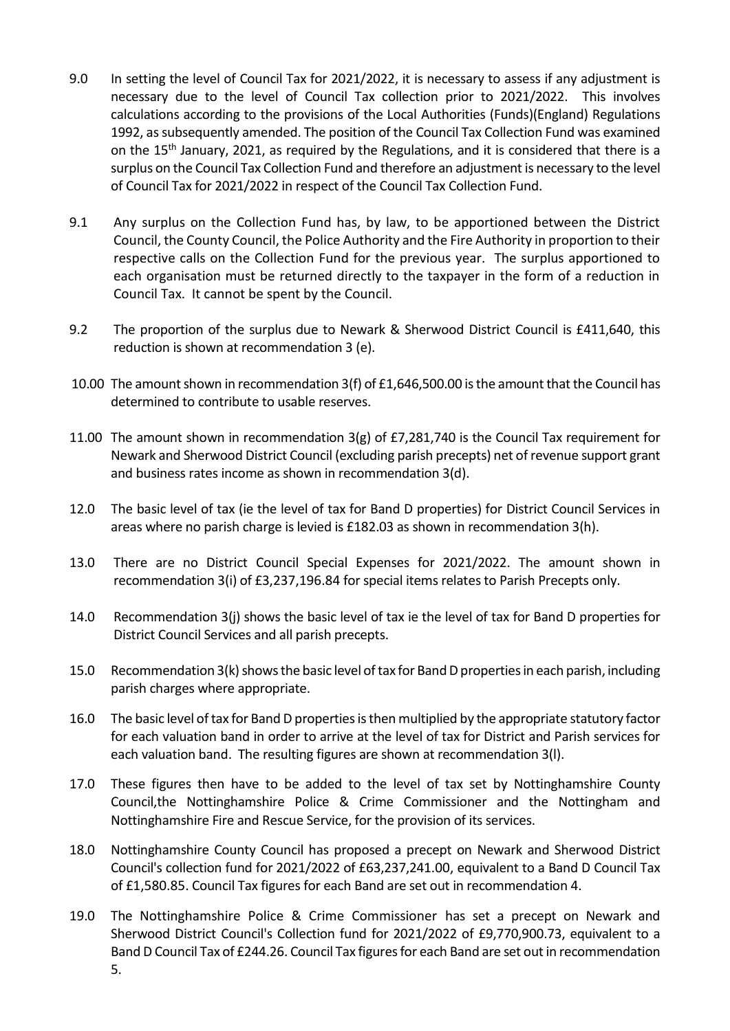- 9.0 In setting the level of Council Tax for 2021/2022, it is necessary to assess if any adjustment is necessary due to the level of Council Tax collection prior to 2021/2022. This involves calculations according to the provisions of the Local Authorities (Funds)(England) Regulations 1992, as subsequently amended. The position of the Council Tax Collection Fund was examined on the 15<sup>th</sup> January, 2021, as required by the Regulations, and it is considered that there is a surplus on the Council Tax Collection Fund and therefore an adjustment is necessary to the level of Council Tax for 2021/2022 in respect of the Council Tax Collection Fund.
- 9.1 Any surplus on the Collection Fund has, by law, to be apportioned between the District Council, the County Council, the Police Authority and the Fire Authority in proportion to their respective calls on the Collection Fund for the previous year. The surplus apportioned to each organisation must be returned directly to the taxpayer in the form of a reduction in Council Tax. It cannot be spent by the Council.
- 9.2 The proportion of the surplus due to Newark & Sherwood District Council is £411,640, this reduction is shown at recommendation 3 (e).
- 10.00 The amount shown in recommendation 3(f) of £1,646,500.00 is the amount that the Council has determined to contribute to usable reserves.
- 11.00 The amount shown in recommendation 3(g) of £7,281,740 is the Council Tax requirement for Newark and Sherwood District Council (excluding parish precepts) net of revenue support grant and business rates income as shown in recommendation 3(d).
- 12.0 The basic level of tax (ie the level of tax for Band D properties) for District Council Services in areas where no parish charge is levied is £182.03 as shown in recommendation 3(h).
- 13.0 There are no District Council Special Expenses for 2021/2022. The amount shown in recommendation 3(i) of £3,237,196.84 for special items relates to Parish Precepts only.
- 14.0 Recommendation 3(j) shows the basic level of tax ie the level of tax for Band D properties for District Council Services and all parish precepts.
- 15.0 Recommendation 3(k) shows the basic level of tax for Band D properties in each parish, including parish charges where appropriate.
- 16.0 The basic level of tax for Band D properties is then multiplied by the appropriate statutory factor for each valuation band in order to arrive at the level of tax for District and Parish services for each valuation band. The resulting figures are shown at recommendation 3(l).
- 17.0 These figures then have to be added to the level of tax set by Nottinghamshire County Council,the Nottinghamshire Police & Crime Commissioner and the Nottingham and Nottinghamshire Fire and Rescue Service, for the provision of its services.
- 18.0 Nottinghamshire County Council has proposed a precept on Newark and Sherwood District Council's collection fund for 2021/2022 of £63,237,241.00, equivalent to a Band D Council Tax of £1,580.85. Council Tax figures for each Band are set out in recommendation 4.
- 19.0 The Nottinghamshire Police & Crime Commissioner has set a precept on Newark and Sherwood District Council's Collection fund for 2021/2022 of £9,770,900.73, equivalent to a Band D Council Tax of £244.26. Council Tax figures for each Band are set out in recommendation 5.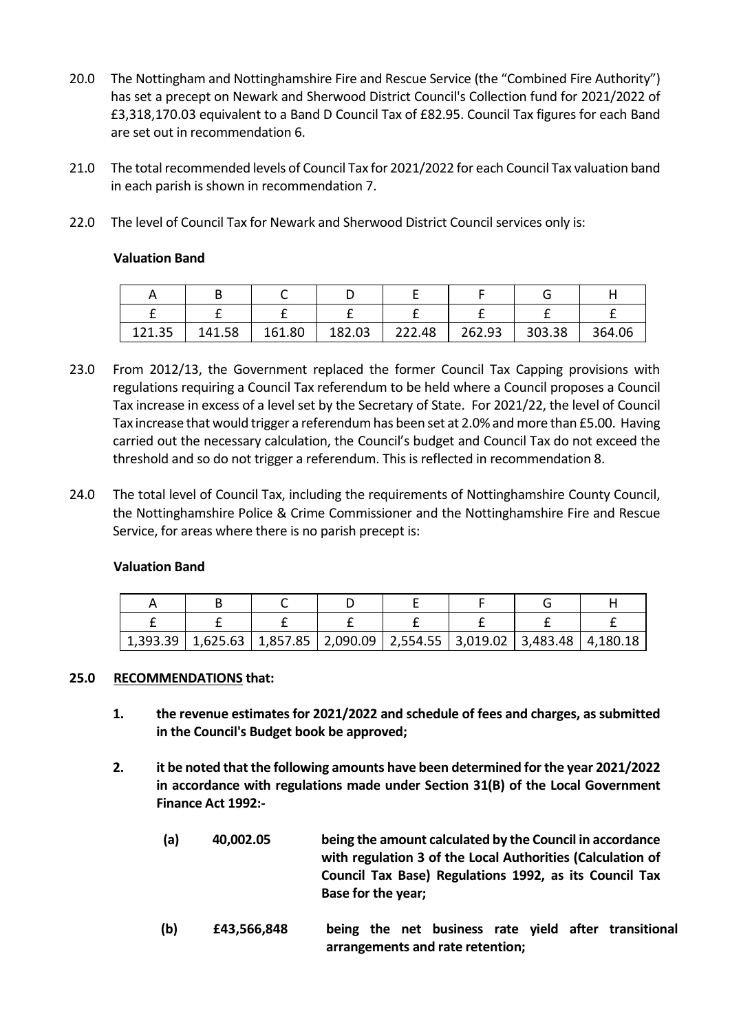- 20.0 The Nottingham and Nottinghamshire Fire and Rescue Service (the "Combined Fire Authority") has set a precept on Newark and Sherwood District Council's Collection fund for 2021/2022 of £3,318,170.03 equivalent to a Band D Council Tax of £82.95. Council Tax figures for each Band are set out in recommendation 6.
- 21.0 The total recommended levels of Council Tax for 2021/2022 for each Council Tax valuation band in each parish is shown in recommendation 7.
- 22.0 The level of Council Tax for Newark and Sherwood District Council services only is:

## **Valuation Band**

| 121.35 | 141.58 | 161.80 | 182.03 | 222.48 | 262.93 | 303.38 | 364.06 |
|--------|--------|--------|--------|--------|--------|--------|--------|

- 23.0 From 2012/13, the Government replaced the former Council Tax Capping provisions with regulations requiring a Council Tax referendum to be held where a Council proposes a Council Tax increase in excess of a level set by the Secretary of State. For 2021/22, the level of Council Tax increase that would trigger a referendum has been set at 2.0% and more than £5.00. Having carried out the necessary calculation, the Council's budget and Council Tax do not exceed the threshold and so do not trigger a referendum. This is reflected in recommendation 8.
- 24.0 The total level of Council Tax, including the requirements of Nottinghamshire County Council, the Nottinghamshire Police & Crime Commissioner and the Nottinghamshire Fire and Rescue Service, for areas where there is no parish precept is:

## **Valuation Band**

| $1,393.39$   $1,625.63$   $1,857.85$   $2,090.09$   $2,554.55$   $3,019.02$   $3,483.48$   $4,180.18$ |  |  |  |
|-------------------------------------------------------------------------------------------------------|--|--|--|

## **25.0 RECOMMENDATIONS that:**

- **1. the revenue estimates for 2021/2022 and schedule of fees and charges, as submitted in the Council's Budget book be approved;**
- **2. it be noted that the following amounts have been determined for the year 2021/2022 in accordance with regulations made under Section 31(B) of the Local Government Finance Act 1992:-**
	- **(a) 40,002.05 being the amount calculated by the Council in accordance with regulation 3 of the Local Authorities (Calculation of Council Tax Base) Regulations 1992, as its Council Tax Base for the year;**
	- **(b) £43,566,848 being the net business rate yield after transitional arrangements and rate retention;**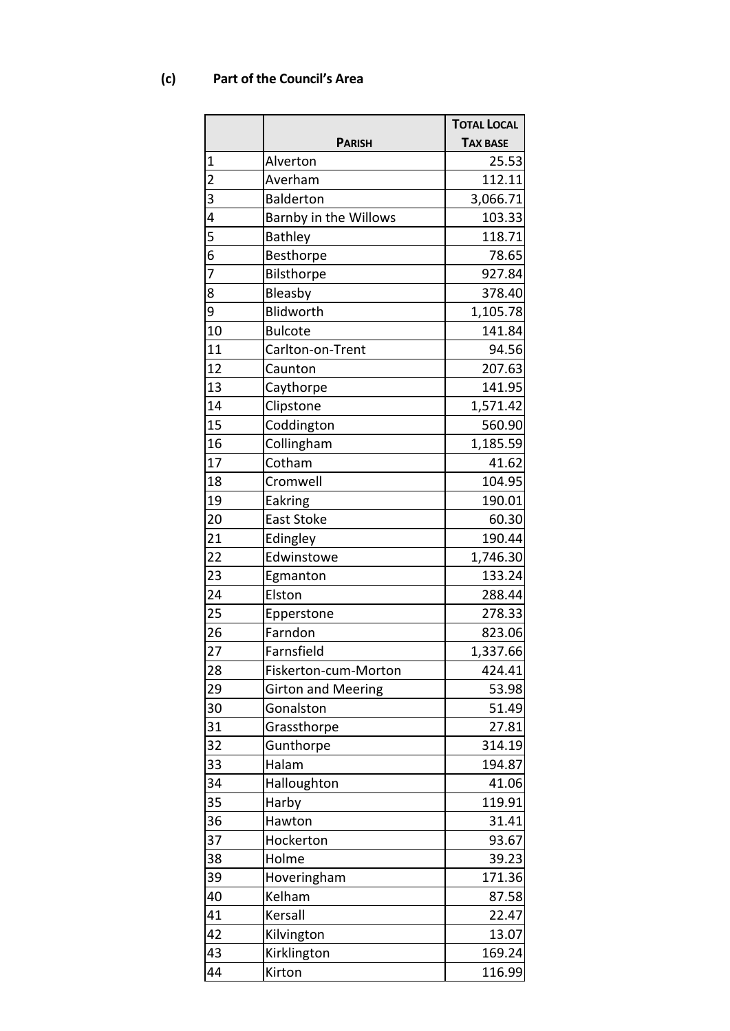# **(c) Part of the Council's Area**

|                |                           | <b>TOTAL LOCAL</b> |
|----------------|---------------------------|--------------------|
|                | <b>PARISH</b>             | <b>TAX BASE</b>    |
| 1              | Alverton                  | 25.53              |
| $\overline{c}$ | Averham                   | 112.11             |
| 3              | <b>Balderton</b>          | 3,066.71           |
| 4              | Barnby in the Willows     | 103.33             |
| 5              | <b>Bathley</b>            | 118.71             |
| 6              | Besthorpe                 | 78.65              |
| 7              | Bilsthorpe                | 927.84             |
| 8              | Bleasby                   | 378.40             |
| 9              | Blidworth                 | 1,105.78           |
| 10             | <b>Bulcote</b>            | 141.84             |
| 11             | Carlton-on-Trent          | 94.56              |
| 12             | Caunton                   | 207.63             |
| 13             | Caythorpe                 | 141.95             |
| 14             | Clipstone                 | 1,571.42           |
| 15             | Coddington                | 560.90             |
| 16             | Collingham                | 1,185.59           |
| 17             | Cotham                    | 41.62              |
| 18             | Cromwell                  | 104.95             |
| 19             | Eakring                   | 190.01             |
| 20             | <b>East Stoke</b>         | 60.30              |
| 21             | Edingley                  | 190.44             |
| 22             | Edwinstowe                | 1,746.30           |
| 23             | Egmanton                  | 133.24             |
| 24             | Elston                    | 288.44             |
| 25             | Epperstone                | 278.33             |
| 26             | Farndon                   | 823.06             |
| 27             | Farnsfield                | 1,337.66           |
| 28             | Fiskerton-cum-Morton      | 424.41             |
| 29             | <b>Girton and Meering</b> | 53.98              |
| 30             | Gonalston                 | 51.49              |
| 31             | Grassthorpe               | 27.81              |
| 32             | Gunthorpe                 | 314.19             |
| 33             | Halam                     | 194.87             |
| 34             | Halloughton               | 41.06              |
| 35             | Harby                     | 119.91             |
| 36             | Hawton                    | 31.41              |
| 37             | Hockerton                 | 93.67              |
| 38             | Holme                     | 39.23              |
| 39             | Hoveringham               | 171.36             |
| 40             | Kelham                    | 87.58              |
| 41             | Kersall                   | 22.47              |
| 42             | Kilvington                | 13.07              |
| 43             | Kirklington               | 169.24             |
| 44             | Kirton                    | 116.99             |
|                |                           |                    |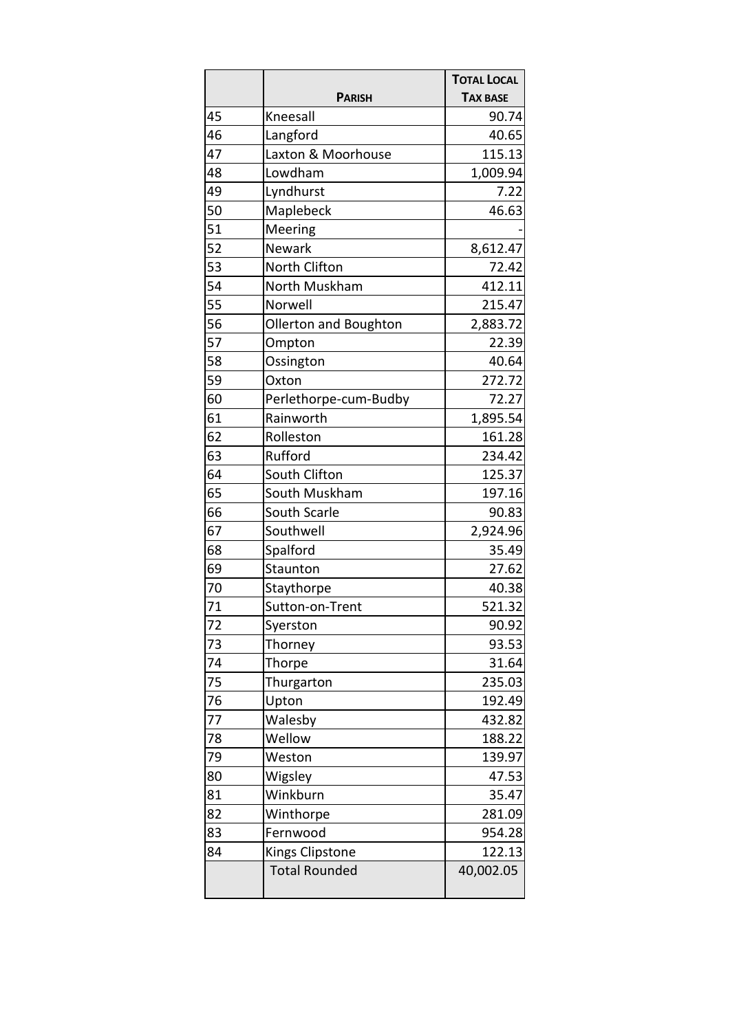|    |                       | <b>TOTAL LOCAL</b> |
|----|-----------------------|--------------------|
|    | <b>PARISH</b>         | <b>TAX BASE</b>    |
| 45 | Kneesall              | 90.74              |
| 46 | Langford              | 40.65              |
| 47 | Laxton & Moorhouse    | 115.13             |
| 48 | Lowdham               | 1,009.94           |
| 49 | Lyndhurst             | 7.22               |
| 50 | Maplebeck             | 46.63              |
| 51 | Meering               |                    |
| 52 | Newark                | 8,612.47           |
| 53 | North Clifton         | 72.42              |
| 54 | North Muskham         | 412.11             |
| 55 | Norwell               | 215.47             |
| 56 | Ollerton and Boughton | 2,883.72           |
| 57 | Ompton                | 22.39              |
| 58 | Ossington             | 40.64              |
| 59 | Oxton                 | 272.72             |
| 60 | Perlethorpe-cum-Budby | 72.27              |
| 61 | Rainworth             | 1,895.54           |
| 62 | Rolleston             | 161.28             |
| 63 | Rufford               | 234.42             |
| 64 | South Clifton         | 125.37             |
| 65 | South Muskham         | 197.16             |
| 66 | South Scarle          | 90.83              |
| 67 | Southwell             | 2,924.96           |
| 68 | Spalford              | 35.49              |
| 69 | Staunton              | 27.62              |
| 70 | Staythorpe            | 40.38              |
| 71 | Sutton-on-Trent       | 521.32             |
| 72 | Syerston              | 90.92              |
| 73 | Thorney               | 93.53              |
| 74 | Thorpe                | 31.64              |
| 75 | Thurgarton            | 235.03             |
| 76 | Upton                 | 192.49             |
| 77 | Walesby               | 432.82             |
| 78 | Wellow                | 188.22             |
| 79 | Weston                | 139.97             |
| 80 | Wigsley               | 47.53              |
| 81 | Winkburn              | 35.47              |
| 82 | Winthorpe             | 281.09             |
| 83 | Fernwood              | 954.28             |
| 84 | Kings Clipstone       | 122.13             |
|    | <b>Total Rounded</b>  | 40,002.05          |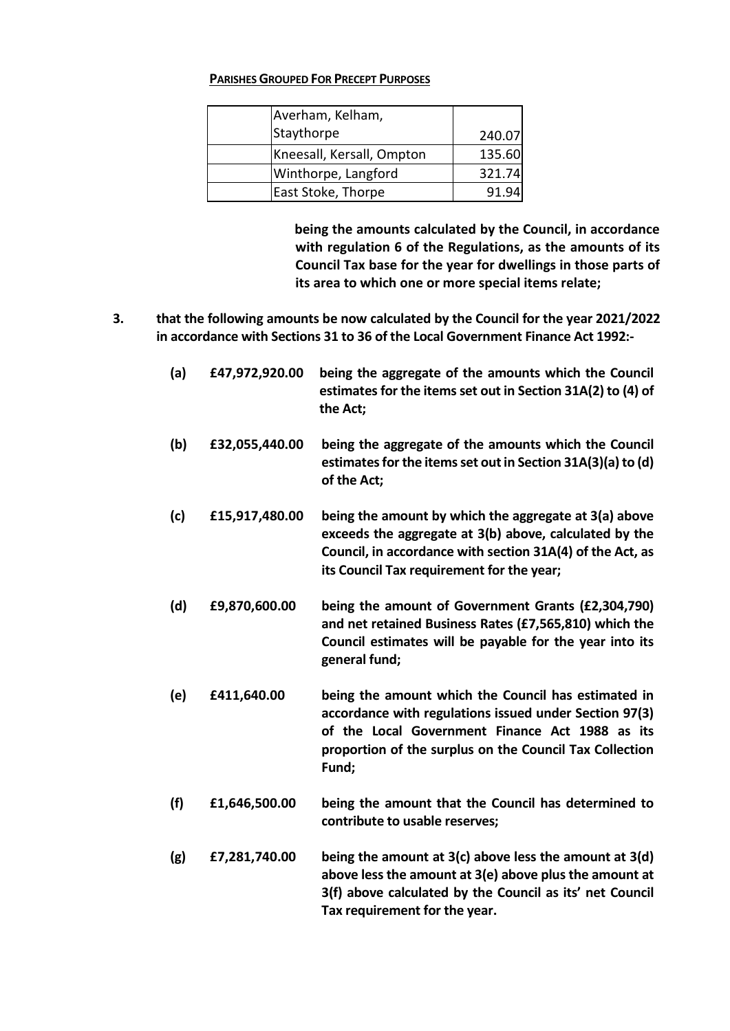### **PARISHES GROUPED FOR PRECEPT PURPOSES**

| Averham, Kelham,          |        |
|---------------------------|--------|
| Staythorpe                | 240.07 |
| Kneesall, Kersall, Ompton | 135.60 |
| Winthorpe, Langford       | 321.74 |
| East Stoke, Thorpe        | 91.9   |

**being the amounts calculated by the Council, in accordance with regulation 6 of the Regulations, as the amounts of its Council Tax base for the year for dwellings in those parts of its area to which one or more special items relate;**

- **3. that the following amounts be now calculated by the Council for the year 2021/2022 in accordance with Sections 31 to 36 of the Local Government Finance Act 1992:-**
	- **(a) £47,972,920.00 being the aggregate of the amounts which the Council estimates for the items set out in Section 31A(2) to (4) of the Act; (b) £32,055,440.00 being the aggregate of the amounts which the Council estimates for the items set out in Section 31A(3)(a) to (d) of the Act; (c) £15,917,480.00 being the amount by which the aggregate at 3(a) above exceeds the aggregate at 3(b) above, calculated by the Council, in accordance with section 31A(4) of the Act, as its Council Tax requirement for the year; (d) £9,870,600.00 being the amount of Government Grants (£2,304,790) and net retained Business Rates (£7,565,810) which the Council estimates will be payable for the year into its general fund;**
	- **(e) £411,640.00 being the amount which the Council has estimated in accordance with regulations issued under Section 97(3) of the Local Government Finance Act 1988 as its proportion of the surplus on the Council Tax Collection Fund;**
	- **(f) £1,646,500.00 being the amount that the Council has determined to contribute to usable reserves;**
	- **(g) £7,281,740.00 being the amount at 3(c) above less the amount at 3(d) above less the amount at 3(e) above plus the amount at 3(f) above calculated by the Council as its' net Council Tax requirement for the year.**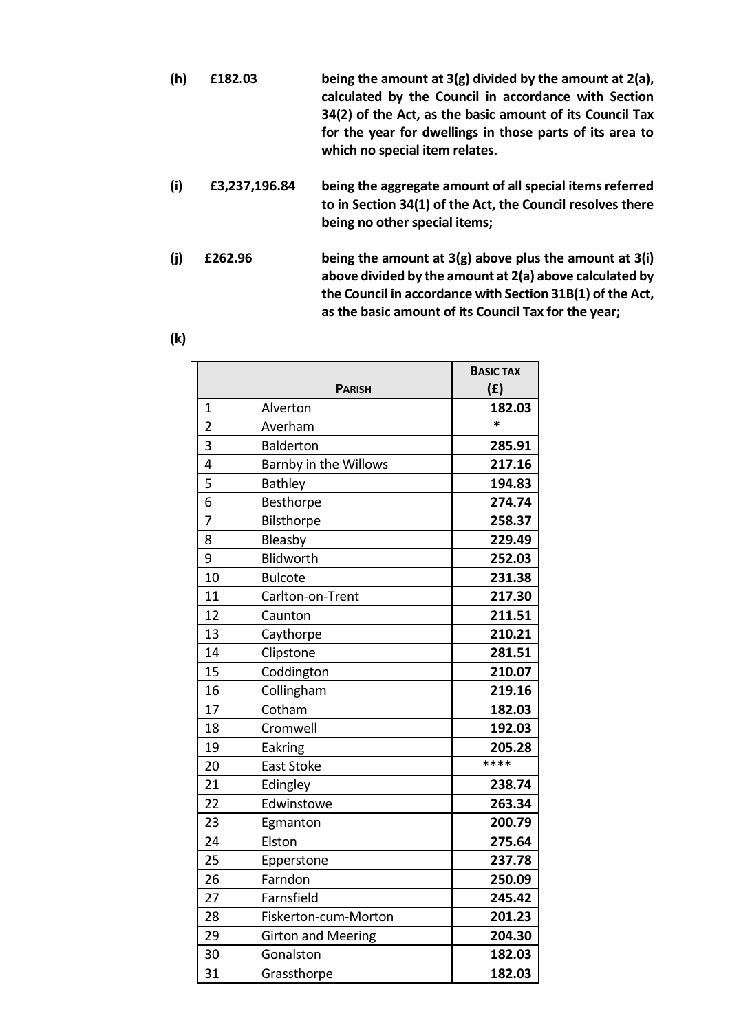- **(h) £182.03 being the amount at 3(g) divided by the amount at 2(a), calculated by the Council in accordance with Section 34(2) of the Act, as the basic amount of its Council Tax for the year for dwellings in those parts of its area to which no special item relates.**
- **(i) £3,237,196.84 being the aggregate amount of all special items referred to in Section 34(1) of the Act, the Council resolves there being no other special items;**
- **(j) £262.96 being the amount at 3(g) above plus the amount at 3(i) above divided by the amount at 2(a) above calculated by the Council in accordance with Section 31B(1) of the Act, as the basic amount of its Council Tax for the year;**

|--|

|                |                           | <b>BASIC TAX</b> |
|----------------|---------------------------|------------------|
|                | <b>PARISH</b>             | (f)              |
| 1              | Alverton                  | 182.03           |
| $\overline{2}$ | Averham                   | $\ast$           |
| 3              | <b>Balderton</b>          | 285.91           |
| 4              | Barnby in the Willows     | 217.16           |
| 5              | <b>Bathley</b>            | 194.83           |
| 6              | Besthorpe                 | 274.74           |
| 7              | Bilsthorpe                | 258.37           |
| 8              | Bleasby                   | 229.49           |
| 9              | Blidworth                 | 252.03           |
| 10             | <b>Bulcote</b>            | 231.38           |
| 11             | Carlton-on-Trent          | 217.30           |
| 12             | Caunton                   | 211.51           |
| 13             | Caythorpe                 | 210.21           |
| 14             | Clipstone                 | 281.51           |
| 15             | Coddington                | 210.07           |
| 16             | Collingham                | 219.16           |
| 17             | Cotham                    | 182.03           |
| 18             | Cromwell                  | 192.03           |
| 19             | Eakring                   | 205.28           |
| 20             | <b>East Stoke</b>         | ****             |
| 21             | Edingley                  | 238.74           |
| 22             | Edwinstowe                | 263.34           |
| 23             | Egmanton                  | 200.79           |
| 24             | Elston                    | 275.64           |
| 25             | Epperstone                | 237.78           |
| 26             | Farndon                   | 250.09           |
| 27             | Farnsfield                | 245.42           |
| 28             | Fiskerton-cum-Morton      | 201.23           |
| 29             | <b>Girton and Meering</b> | 204.30           |
| 30             | Gonalston                 | 182.03           |
| 31             | Grassthorpe               | 182.03           |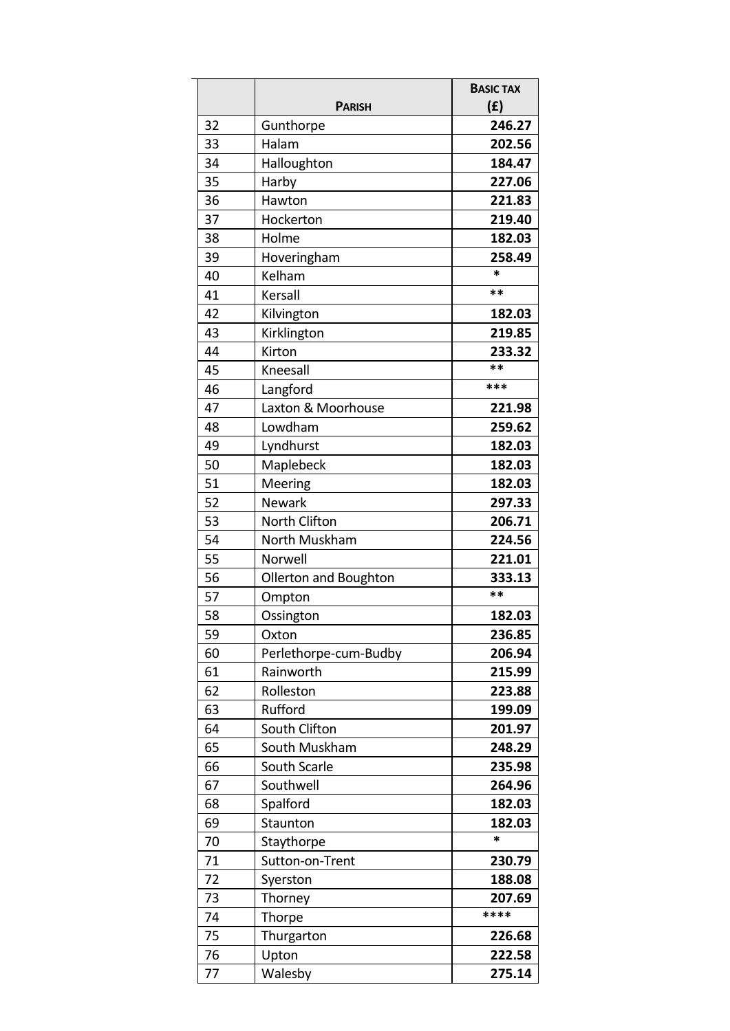|    | <b>PARISH</b>         | <b>BASIC TAX</b><br>(f) |
|----|-----------------------|-------------------------|
| 32 | Gunthorpe             | 246.27                  |
| 33 | Halam                 | 202.56                  |
| 34 | Halloughton           | 184.47                  |
| 35 | Harby                 | 227.06                  |
| 36 | Hawton                | 221.83                  |
| 37 | Hockerton             | 219.40                  |
| 38 | Holme                 | 182.03                  |
| 39 | Hoveringham           | 258.49                  |
| 40 | Kelham                | *                       |
| 41 | Kersall               | **                      |
| 42 | Kilvington            | 182.03                  |
| 43 | Kirklington           | 219.85                  |
| 44 | Kirton                | 233.32                  |
| 45 | Kneesall              | **                      |
| 46 | Langford              | ***                     |
| 47 | Laxton & Moorhouse    | 221.98                  |
| 48 | Lowdham               | 259.62                  |
| 49 | Lyndhurst             | 182.03                  |
| 50 | Maplebeck             | 182.03                  |
| 51 | Meering               | 182.03                  |
| 52 | <b>Newark</b>         | 297.33                  |
| 53 | North Clifton         | 206.71                  |
| 54 | North Muskham         | 224.56                  |
| 55 | Norwell               | 221.01                  |
| 56 | Ollerton and Boughton | 333.13                  |
| 57 | Ompton                | **                      |
| 58 | Ossington             | 182.03                  |
| 59 | Oxton                 | 236.85                  |
| 60 | Perlethorpe-cum-Budby | 206.94                  |
| 61 | Rainworth             | 215.99                  |
| 62 | Rolleston             | 223.88                  |
| 63 | Rufford               | 199.09                  |
| 64 | South Clifton         | 201.97                  |
| 65 | South Muskham         | 248.29                  |
| 66 | South Scarle          | 235.98                  |
| 67 | Southwell             | 264.96                  |
| 68 | Spalford              | 182.03                  |
| 69 | Staunton              | 182.03                  |
| 70 | Staythorpe            | *                       |
| 71 | Sutton-on-Trent       | 230.79                  |
| 72 | Syerston              | 188.08                  |
| 73 | Thorney               | 207.69                  |
| 74 | Thorpe                | ****                    |
| 75 | Thurgarton            | 226.68                  |
| 76 | Upton                 | 222.58                  |
| 77 | Walesby               | 275.14                  |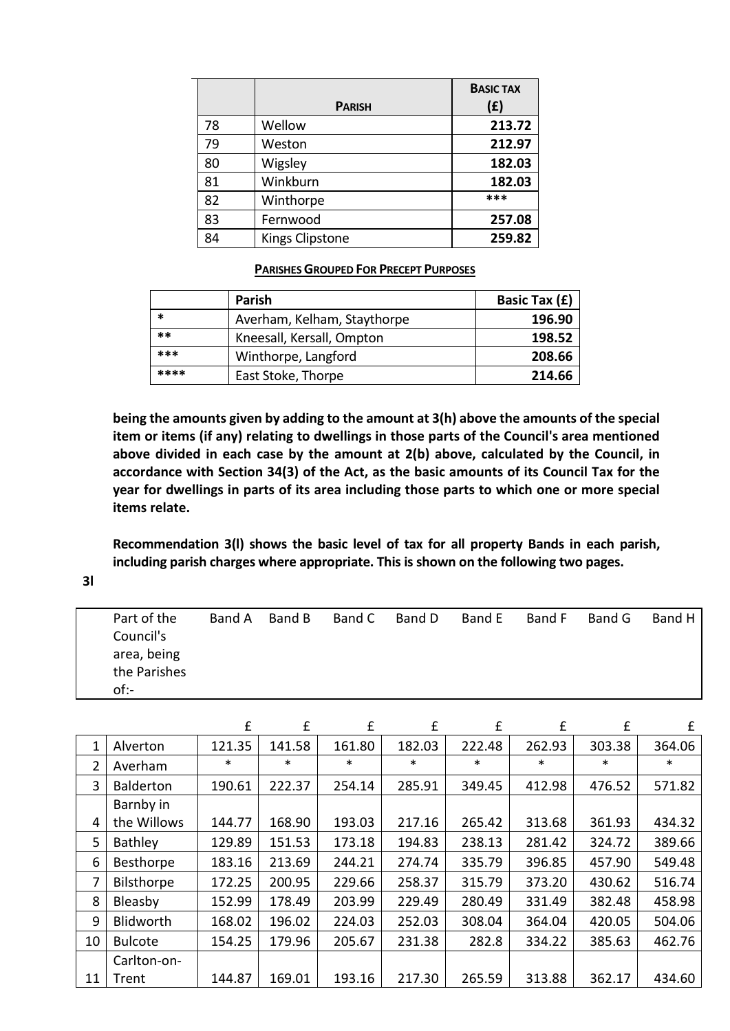|    |                        | <b>BASIC TAX</b> |
|----|------------------------|------------------|
|    | <b>PARISH</b>          | (f)              |
| 78 | Wellow                 | 213.72           |
| 79 | Weston                 | 212.97           |
| 80 | Wigsley                | 182.03           |
| 81 | Winkburn               | 182.03           |
| 82 | Winthorpe              | ***              |
| 83 | Fernwood               | 257.08           |
| 84 | <b>Kings Clipstone</b> | 259.82           |

#### **PARISHES GROUPED FOR PRECEPT PURPOSES**

|      | <b>Parish</b>               | Basic Tax (£) |
|------|-----------------------------|---------------|
| *    | Averham, Kelham, Staythorpe | 196.90        |
| **   | Kneesall, Kersall, Ompton   | 198.52        |
| ***  | Winthorpe, Langford         | 208.66        |
| **** | East Stoke, Thorpe          | 214.66        |

**being the amounts given by adding to the amount at 3(h) above the amounts of the special item or items (if any) relating to dwellings in those parts of the Council's area mentioned above divided in each case by the amount at 2(b) above, calculated by the Council, in accordance with Section 34(3) of the Act, as the basic amounts of its Council Tax for the year for dwellings in parts of its area including those parts to which one or more special items relate.**

**Recommendation 3(l) shows the basic level of tax for all property Bands in each parish, including parish charges where appropriate. This is shown on the following two pages.**

**3l**

| Part of the  | Band A | Band B | Band C | Band D | Band E | Band F | Band G | Band H |
|--------------|--------|--------|--------|--------|--------|--------|--------|--------|
| Council's    |        |        |        |        |        |        |        |        |
| area, being  |        |        |        |        |        |        |        |        |
| the Parishes |        |        |        |        |        |        |        |        |
| of:          |        |        |        |        |        |        |        |        |

|    |                  | £      | £      | f      | £      | £      | £      | £      | £      |
|----|------------------|--------|--------|--------|--------|--------|--------|--------|--------|
| 1  | Alverton         | 121.35 | 141.58 | 161.80 | 182.03 | 222.48 | 262.93 | 303.38 | 364.06 |
| 2  | Averham          | ∗      | $\ast$ | $\ast$ | $\ast$ | $\ast$ | $\ast$ | $\ast$ | $\ast$ |
| 3  | <b>Balderton</b> | 190.61 | 222.37 | 254.14 | 285.91 | 349.45 | 412.98 | 476.52 | 571.82 |
|    | Barnby in        |        |        |        |        |        |        |        |        |
| 4  | the Willows      | 144.77 | 168.90 | 193.03 | 217.16 | 265.42 | 313.68 | 361.93 | 434.32 |
| 5  | Bathley          | 129.89 | 151.53 | 173.18 | 194.83 | 238.13 | 281.42 | 324.72 | 389.66 |
| 6  | Besthorpe        | 183.16 | 213.69 | 244.21 | 274.74 | 335.79 | 396.85 | 457.90 | 549.48 |
| 7  | Bilsthorpe       | 172.25 | 200.95 | 229.66 | 258.37 | 315.79 | 373.20 | 430.62 | 516.74 |
| 8  | Bleasby          | 152.99 | 178.49 | 203.99 | 229.49 | 280.49 | 331.49 | 382.48 | 458.98 |
| 9  | <b>Blidworth</b> | 168.02 | 196.02 | 224.03 | 252.03 | 308.04 | 364.04 | 420.05 | 504.06 |
| 10 | <b>Bulcote</b>   | 154.25 | 179.96 | 205.67 | 231.38 | 282.8  | 334.22 | 385.63 | 462.76 |
|    | Carlton-on-      |        |        |        |        |        |        |        |        |
| 11 | Trent            | 144.87 | 169.01 | 193.16 | 217.30 | 265.59 | 313.88 | 362.17 | 434.60 |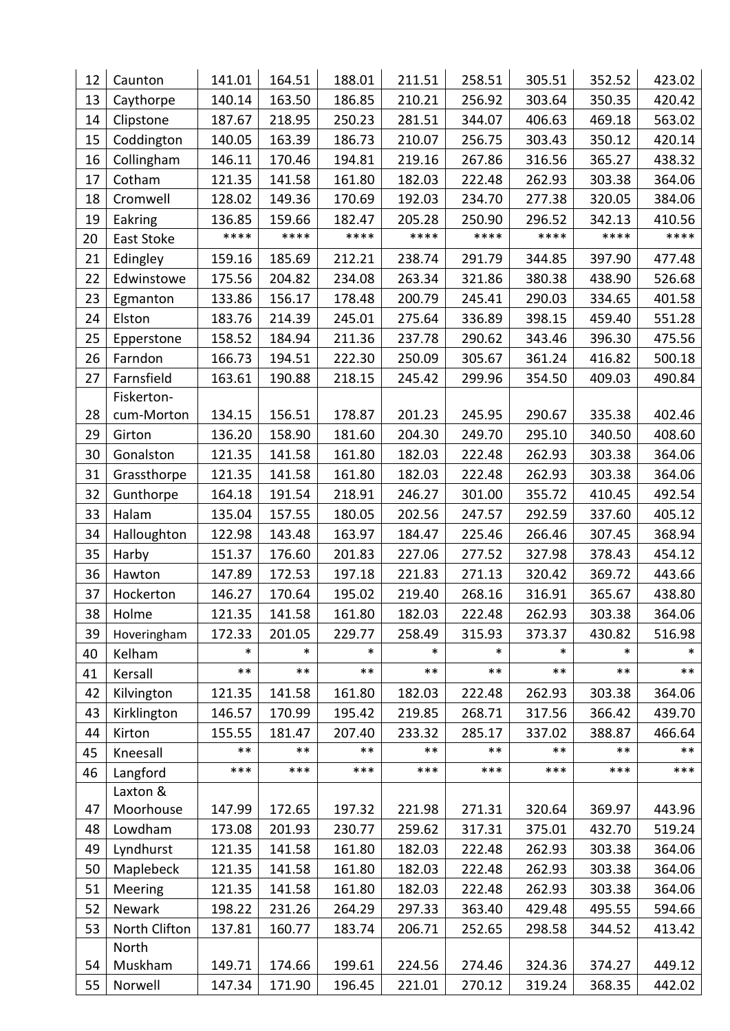| 12 | Caunton       | 141.01 | 164.51 | 188.01 | 211.51 | 258.51 | 305.51 | 352.52 | 423.02 |
|----|---------------|--------|--------|--------|--------|--------|--------|--------|--------|
| 13 | Caythorpe     | 140.14 | 163.50 | 186.85 | 210.21 | 256.92 | 303.64 | 350.35 | 420.42 |
| 14 | Clipstone     | 187.67 | 218.95 | 250.23 | 281.51 | 344.07 | 406.63 | 469.18 | 563.02 |
| 15 | Coddington    | 140.05 | 163.39 | 186.73 | 210.07 | 256.75 | 303.43 | 350.12 | 420.14 |
| 16 | Collingham    | 146.11 | 170.46 | 194.81 | 219.16 | 267.86 | 316.56 | 365.27 | 438.32 |
| 17 | Cotham        | 121.35 | 141.58 | 161.80 | 182.03 | 222.48 | 262.93 | 303.38 | 364.06 |
| 18 | Cromwell      | 128.02 | 149.36 | 170.69 | 192.03 | 234.70 | 277.38 | 320.05 | 384.06 |
| 19 | Eakring       | 136.85 | 159.66 | 182.47 | 205.28 | 250.90 | 296.52 | 342.13 | 410.56 |
| 20 | East Stoke    | ****   | ****   | ****   | ****   | ****   | ****   | ****   | ****   |
| 21 | Edingley      | 159.16 | 185.69 | 212.21 | 238.74 | 291.79 | 344.85 | 397.90 | 477.48 |
| 22 | Edwinstowe    | 175.56 | 204.82 | 234.08 | 263.34 | 321.86 | 380.38 | 438.90 | 526.68 |
| 23 | Egmanton      | 133.86 | 156.17 | 178.48 | 200.79 | 245.41 | 290.03 | 334.65 | 401.58 |
| 24 | Elston        | 183.76 | 214.39 | 245.01 | 275.64 | 336.89 | 398.15 | 459.40 | 551.28 |
| 25 | Epperstone    | 158.52 | 184.94 | 211.36 | 237.78 | 290.62 | 343.46 | 396.30 | 475.56 |
| 26 | Farndon       | 166.73 | 194.51 | 222.30 | 250.09 | 305.67 | 361.24 | 416.82 | 500.18 |
| 27 | Farnsfield    | 163.61 | 190.88 | 218.15 | 245.42 | 299.96 | 354.50 | 409.03 | 490.84 |
|    | Fiskerton-    |        |        |        |        |        |        |        |        |
| 28 | cum-Morton    | 134.15 | 156.51 | 178.87 | 201.23 | 245.95 | 290.67 | 335.38 | 402.46 |
| 29 | Girton        | 136.20 | 158.90 | 181.60 | 204.30 | 249.70 | 295.10 | 340.50 | 408.60 |
| 30 | Gonalston     | 121.35 | 141.58 | 161.80 | 182.03 | 222.48 | 262.93 | 303.38 | 364.06 |
| 31 | Grassthorpe   | 121.35 | 141.58 | 161.80 | 182.03 | 222.48 | 262.93 | 303.38 | 364.06 |
| 32 | Gunthorpe     | 164.18 | 191.54 | 218.91 | 246.27 | 301.00 | 355.72 | 410.45 | 492.54 |
| 33 | Halam         | 135.04 | 157.55 | 180.05 | 202.56 | 247.57 | 292.59 | 337.60 | 405.12 |
| 34 | Halloughton   | 122.98 | 143.48 | 163.97 | 184.47 | 225.46 | 266.46 | 307.45 | 368.94 |
| 35 | Harby         | 151.37 | 176.60 | 201.83 | 227.06 | 277.52 | 327.98 | 378.43 | 454.12 |
| 36 | Hawton        | 147.89 | 172.53 | 197.18 | 221.83 | 271.13 | 320.42 | 369.72 | 443.66 |
| 37 | Hockerton     | 146.27 | 170.64 | 195.02 | 219.40 | 268.16 | 316.91 | 365.67 | 438.80 |
| 38 | Holme         | 121.35 | 141.58 | 161.80 | 182.03 | 222.48 | 262.93 | 303.38 | 364.06 |
| 39 | Hoveringham   | 172.33 | 201.05 | 229.77 | 258.49 | 315.93 | 373.37 | 430.82 | 516.98 |
| 40 | Kelham        | *      | $\ast$ | $\ast$ | $\ast$ | *      | $\ast$ | $\ast$ | *      |
| 41 | Kersall       | $***$  | $***$  | $***$  | $***$  | $***$  | $***$  | $***$  | $***$  |
| 42 | Kilvington    | 121.35 | 141.58 | 161.80 | 182.03 | 222.48 | 262.93 | 303.38 | 364.06 |
| 43 | Kirklington   | 146.57 | 170.99 | 195.42 | 219.85 | 268.71 | 317.56 | 366.42 | 439.70 |
| 44 | Kirton        | 155.55 | 181.47 | 207.40 | 233.32 | 285.17 | 337.02 | 388.87 | 466.64 |
| 45 | Kneesall      | $***$  | $***$  | $***$  | $***$  | $***$  | $***$  | $***$  | $***$  |
| 46 | Langford      | ***    | ***    | ***    | ***    | ***    | ***    | ***    | ***    |
|    | Laxton &      |        |        |        |        |        |        |        |        |
| 47 | Moorhouse     | 147.99 | 172.65 | 197.32 | 221.98 | 271.31 | 320.64 | 369.97 | 443.96 |
| 48 | Lowdham       | 173.08 | 201.93 | 230.77 | 259.62 | 317.31 | 375.01 | 432.70 | 519.24 |
| 49 | Lyndhurst     | 121.35 | 141.58 | 161.80 | 182.03 | 222.48 | 262.93 | 303.38 | 364.06 |
| 50 | Maplebeck     | 121.35 | 141.58 | 161.80 | 182.03 | 222.48 | 262.93 | 303.38 | 364.06 |
| 51 | Meering       | 121.35 | 141.58 | 161.80 | 182.03 | 222.48 | 262.93 | 303.38 | 364.06 |
| 52 | Newark        | 198.22 | 231.26 | 264.29 | 297.33 | 363.40 | 429.48 | 495.55 | 594.66 |
| 53 | North Clifton | 137.81 | 160.77 | 183.74 | 206.71 | 252.65 | 298.58 | 344.52 | 413.42 |
|    | North         |        |        |        |        |        |        |        |        |
| 54 | Muskham       | 149.71 | 174.66 | 199.61 | 224.56 | 274.46 | 324.36 | 374.27 | 449.12 |
| 55 | Norwell       | 147.34 | 171.90 | 196.45 | 221.01 | 270.12 | 319.24 | 368.35 | 442.02 |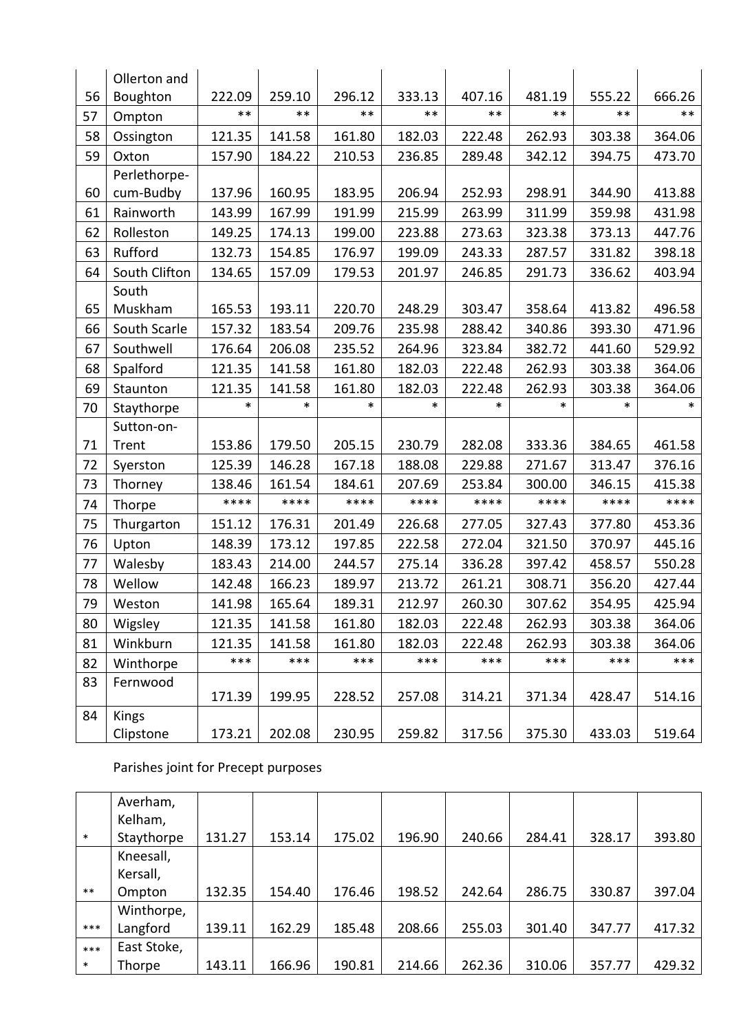|    | Ollerton and  |        |        |        |        |        |        |        |        |
|----|---------------|--------|--------|--------|--------|--------|--------|--------|--------|
| 56 | Boughton      | 222.09 | 259.10 | 296.12 | 333.13 | 407.16 | 481.19 | 555.22 | 666.26 |
| 57 | Ompton        | $***$  | $***$  | $***$  | $***$  | $***$  | $***$  | $***$  | $***$  |
| 58 | Ossington     | 121.35 | 141.58 | 161.80 | 182.03 | 222.48 | 262.93 | 303.38 | 364.06 |
| 59 | Oxton         | 157.90 | 184.22 | 210.53 | 236.85 | 289.48 | 342.12 | 394.75 | 473.70 |
|    | Perlethorpe-  |        |        |        |        |        |        |        |        |
| 60 | cum-Budby     | 137.96 | 160.95 | 183.95 | 206.94 | 252.93 | 298.91 | 344.90 | 413.88 |
| 61 | Rainworth     | 143.99 | 167.99 | 191.99 | 215.99 | 263.99 | 311.99 | 359.98 | 431.98 |
| 62 | Rolleston     | 149.25 | 174.13 | 199.00 | 223.88 | 273.63 | 323.38 | 373.13 | 447.76 |
| 63 | Rufford       | 132.73 | 154.85 | 176.97 | 199.09 | 243.33 | 287.57 | 331.82 | 398.18 |
| 64 | South Clifton | 134.65 | 157.09 | 179.53 | 201.97 | 246.85 | 291.73 | 336.62 | 403.94 |
|    | South         |        |        |        |        |        |        |        |        |
| 65 | Muskham       | 165.53 | 193.11 | 220.70 | 248.29 | 303.47 | 358.64 | 413.82 | 496.58 |
| 66 | South Scarle  | 157.32 | 183.54 | 209.76 | 235.98 | 288.42 | 340.86 | 393.30 | 471.96 |
| 67 | Southwell     | 176.64 | 206.08 | 235.52 | 264.96 | 323.84 | 382.72 | 441.60 | 529.92 |
| 68 | Spalford      | 121.35 | 141.58 | 161.80 | 182.03 | 222.48 | 262.93 | 303.38 | 364.06 |
| 69 | Staunton      | 121.35 | 141.58 | 161.80 | 182.03 | 222.48 | 262.93 | 303.38 | 364.06 |
| 70 | Staythorpe    | $\ast$ | *      | $\ast$ | $\ast$ | $\ast$ | $\ast$ | $\ast$ | *      |
|    | Sutton-on-    |        |        |        |        |        |        |        |        |
| 71 | Trent         | 153.86 | 179.50 | 205.15 | 230.79 | 282.08 | 333.36 | 384.65 | 461.58 |
| 72 | Syerston      | 125.39 | 146.28 | 167.18 | 188.08 | 229.88 | 271.67 | 313.47 | 376.16 |
| 73 | Thorney       | 138.46 | 161.54 | 184.61 | 207.69 | 253.84 | 300.00 | 346.15 | 415.38 |
| 74 | Thorpe        | ****   | ****   | ****   | ****   | ****   | ****   | ****   | ****   |
| 75 | Thurgarton    | 151.12 | 176.31 | 201.49 | 226.68 | 277.05 | 327.43 | 377.80 | 453.36 |
| 76 | Upton         | 148.39 | 173.12 | 197.85 | 222.58 | 272.04 | 321.50 | 370.97 | 445.16 |
| 77 | Walesby       | 183.43 | 214.00 | 244.57 | 275.14 | 336.28 | 397.42 | 458.57 | 550.28 |
| 78 | Wellow        | 142.48 | 166.23 | 189.97 | 213.72 | 261.21 | 308.71 | 356.20 | 427.44 |
| 79 | Weston        | 141.98 | 165.64 | 189.31 | 212.97 | 260.30 | 307.62 | 354.95 | 425.94 |
| 80 | Wigsley       | 121.35 | 141.58 | 161.80 | 182.03 | 222.48 | 262.93 | 303.38 | 364.06 |
| 81 | Winkburn      | 121.35 | 141.58 | 161.80 | 182.03 | 222.48 | 262.93 | 303.38 | 364.06 |
| 82 | Winthorpe     | ***    | ***    | ***    | ***    | ***    | ***    | ***    | ***    |
| 83 | Fernwood      |        |        |        |        |        |        |        |        |
|    |               | 171.39 | 199.95 | 228.52 | 257.08 | 314.21 | 371.34 | 428.47 | 514.16 |
| 84 | <b>Kings</b>  |        |        |        |        |        |        |        |        |
|    | Clipstone     | 173.21 | 202.08 | 230.95 | 259.82 | 317.56 | 375.30 | 433.03 | 519.64 |

# Parishes joint for Precept purposes

|        | Averham,    |        |        |        |        |        |        |        |        |
|--------|-------------|--------|--------|--------|--------|--------|--------|--------|--------|
|        | Kelham,     |        |        |        |        |        |        |        |        |
| $\ast$ | Staythorpe  | 131.27 | 153.14 | 175.02 | 196.90 | 240.66 | 284.41 | 328.17 | 393.80 |
|        | Kneesall,   |        |        |        |        |        |        |        |        |
|        | Kersall,    |        |        |        |        |        |        |        |        |
| $***$  | Ompton      | 132.35 | 154.40 | 176.46 | 198.52 | 242.64 | 286.75 | 330.87 | 397.04 |
|        | Winthorpe,  |        |        |        |        |        |        |        |        |
| $***$  | Langford    | 139.11 | 162.29 | 185.48 | 208.66 | 255.03 | 301.40 | 347.77 | 417.32 |
| $***$  | East Stoke, |        |        |        |        |        |        |        |        |
| $\ast$ | Thorpe      | 143.11 | 166.96 | 190.81 | 214.66 | 262.36 | 310.06 | 357.77 | 429.32 |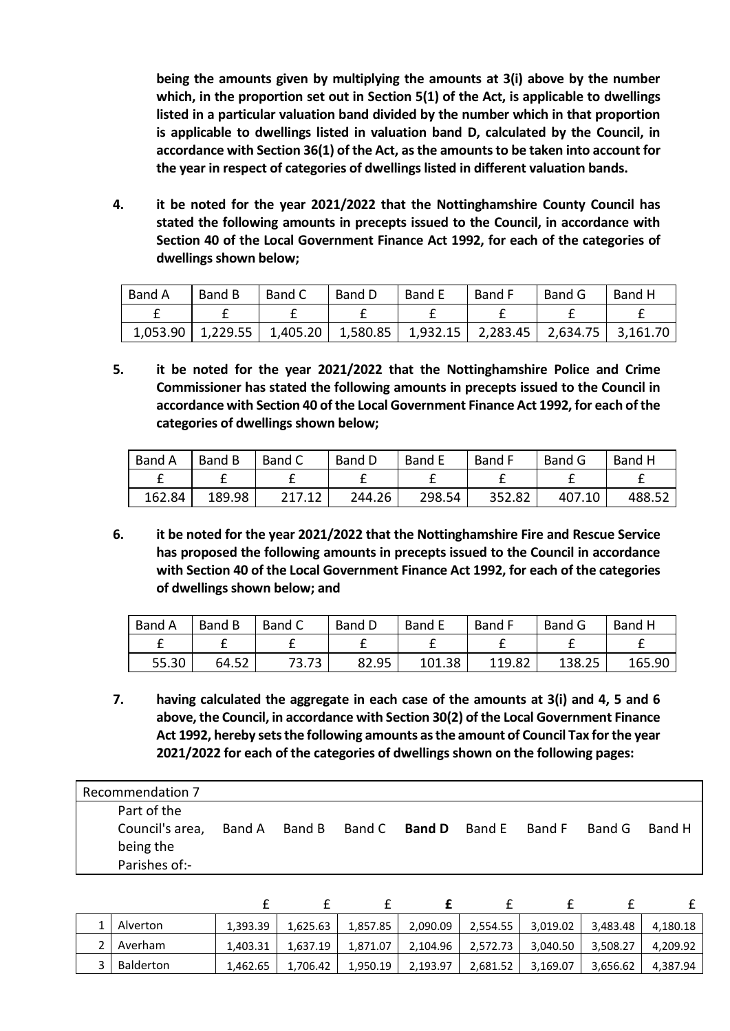**being the amounts given by multiplying the amounts at 3(i) above by the number which, in the proportion set out in Section 5(1) of the Act, is applicable to dwellings listed in a particular valuation band divided by the number which in that proportion is applicable to dwellings listed in valuation band D, calculated by the Council, in accordance with Section 36(1) of the Act, as the amounts to be taken into account for the year in respect of categories of dwellings listed in different valuation bands.**

**4. it be noted for the year 2021/2022 that the Nottinghamshire County Council has stated the following amounts in precepts issued to the Council, in accordance with Section 40 of the Local Government Finance Act 1992, for each of the categories of dwellings shown below;**

| Band A | Band B | Band C | Band D | Band E                                                                                  | Band F | Band G | Band H |
|--------|--------|--------|--------|-----------------------------------------------------------------------------------------|--------|--------|--------|
|        |        |        |        |                                                                                         |        |        |        |
|        |        |        |        | $1,053.90$   1,229.55   1,405.20   1,580.85   1,932.15   2,283.45   2,634.75   3,161.70 |        |        |        |

**5. it be noted for the year 2021/2022 that the Nottinghamshire Police and Crime Commissioner has stated the following amounts in precepts issued to the Council in accordance with Section 40 of the Local Government Finance Act 1992, for each of the categories of dwellings shown below;**

| Band A | Band B | Band C | Band D | Band E | <b>Band F</b> | Band G | Band H |
|--------|--------|--------|--------|--------|---------------|--------|--------|
|        |        |        |        |        |               |        |        |
| 162.84 | 189.98 | 217.12 | 244.26 | 298.54 | 352.82        | 407.10 | 488.52 |

**6. it be noted for the year 2021/2022 that the Nottinghamshire Fire and Rescue Service has proposed the following amounts in precepts issued to the Council in accordance with Section 40 of the Local Government Finance Act 1992, for each of the categories of dwellings shown below; and**

| Band A | Band B | Band C | Band D | <b>Band E</b> | <b>Band F</b> | Band G | Band H |
|--------|--------|--------|--------|---------------|---------------|--------|--------|
|        |        |        |        |               |               |        |        |
| 55.30  | 64.52  | 73.73  | 82.95  | 101.38        | 119.82        | 138.25 | 165.90 |

**7. having calculated the aggregate in each case of the amounts at 3(i) and 4, 5 and 6 above, the Council, in accordance with Section 30(2) of the Local Government Finance Act 1992, hereby sets the following amounts as the amount of Council Tax for the year 2021/2022 for each of the categories of dwellings shown on the following pages:**

| Recommendation 7                                             |        |        |               |        |        |        |        |
|--------------------------------------------------------------|--------|--------|---------------|--------|--------|--------|--------|
| Part of the<br>Council's area,<br>being the<br>Parishes of:- | Band A | Band B | Band C Band D | Band E | Band F | Band G | Band H |

| Alverton    | 1,393.39 | 1,625.63 | 1,857.85 | 2,090.09 | 2,554.55 | 3,019.02 | 3,483.48 | 4,180.18 |
|-------------|----------|----------|----------|----------|----------|----------|----------|----------|
| 2   Averham | 1.403.31 | 1.637.19 | 1,871.07 | 2,104.96 | 2,572.73 | 3,040.50 | 3,508.27 | 4,209.92 |
| Balderton   | 1,462.65 | 1.706.42 | 1,950.19 | 2,193.97 | 2,681.52 | 3,169.07 | 3,656.62 | 4,387.94 |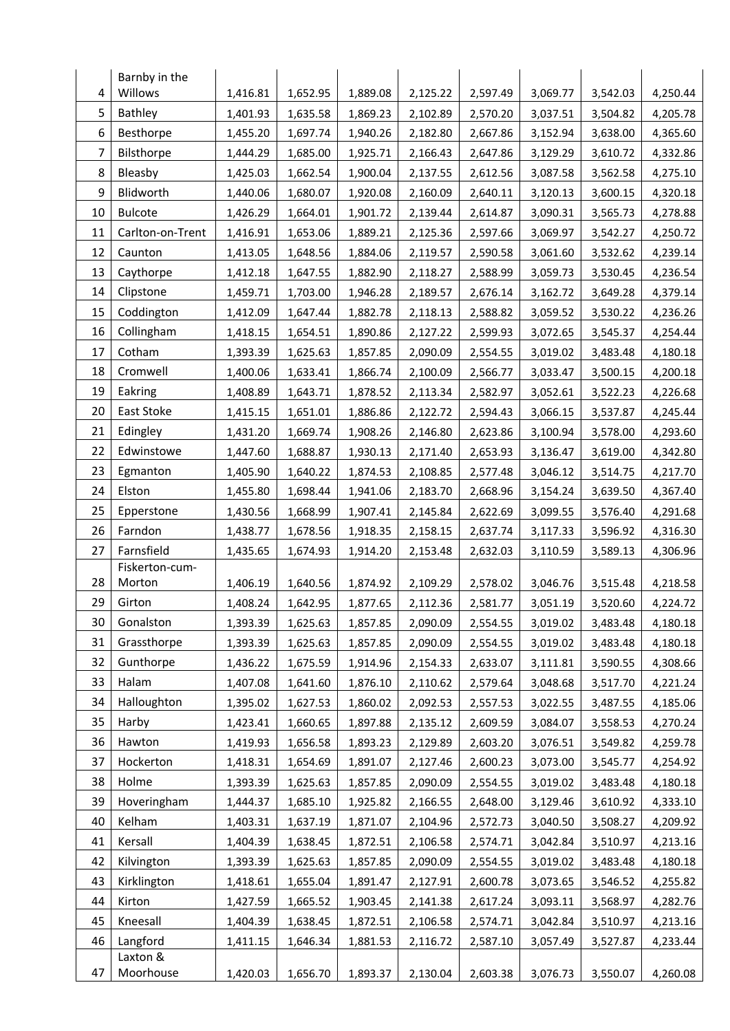|    | Barnby in the            |          |                      |                      |                      |                      |                      |                      |                      |
|----|--------------------------|----------|----------------------|----------------------|----------------------|----------------------|----------------------|----------------------|----------------------|
| 4  | Willows                  | 1,416.81 | 1,652.95             | 1,889.08             | 2,125.22             | 2,597.49             | 3,069.77             | 3,542.03             | 4,250.44             |
| 5  | Bathley                  | 1,401.93 | 1,635.58             | 1,869.23             | 2,102.89             | 2,570.20             | 3,037.51             | 3,504.82             | 4,205.78             |
| 6  | Besthorpe                | 1,455.20 | 1,697.74             | 1,940.26             | 2,182.80             | 2,667.86             | 3,152.94             | 3,638.00             | 4,365.60             |
| 7  | Bilsthorpe               | 1,444.29 | 1,685.00             | 1,925.71             | 2,166.43             | 2,647.86             | 3,129.29             | 3,610.72             | 4,332.86             |
| 8  | Bleasby                  | 1,425.03 | 1,662.54             | 1,900.04             | 2,137.55             | 2,612.56             | 3,087.58             | 3,562.58             | 4,275.10             |
| 9  | Blidworth                | 1,440.06 | 1,680.07             | 1,920.08             | 2,160.09             | 2,640.11             | 3,120.13             | 3,600.15             | 4,320.18             |
| 10 | <b>Bulcote</b>           | 1,426.29 | 1,664.01             | 1,901.72             | 2,139.44             | 2,614.87             | 3,090.31             | 3,565.73             | 4,278.88             |
| 11 | Carlton-on-Trent         | 1,416.91 | 1,653.06             | 1,889.21             | 2,125.36             | 2,597.66             | 3,069.97             | 3,542.27             | 4,250.72             |
| 12 | Caunton                  | 1,413.05 | 1,648.56             | 1,884.06             | 2,119.57             | 2,590.58             | 3,061.60             | 3,532.62             | 4,239.14             |
| 13 | Caythorpe                | 1,412.18 | 1,647.55             | 1,882.90             | 2,118.27             | 2,588.99             | 3,059.73             | 3,530.45             | 4,236.54             |
| 14 | Clipstone                | 1,459.71 | 1,703.00             | 1,946.28             | 2,189.57             | 2,676.14             | 3,162.72             | 3,649.28             | 4,379.14             |
| 15 | Coddington               | 1,412.09 | 1,647.44             | 1,882.78             | 2,118.13             | 2,588.82             | 3,059.52             | 3,530.22             | 4,236.26             |
| 16 | Collingham               | 1,418.15 | 1,654.51             | 1,890.86             | 2,127.22             | 2,599.93             | 3,072.65             | 3,545.37             | 4,254.44             |
| 17 | Cotham                   | 1,393.39 | 1,625.63             | 1,857.85             | 2,090.09             | 2,554.55             | 3,019.02             | 3,483.48             | 4,180.18             |
| 18 | Cromwell                 | 1,400.06 | 1,633.41             | 1,866.74             | 2,100.09             | 2,566.77             | 3,033.47             | 3,500.15             | 4,200.18             |
| 19 | Eakring                  | 1,408.89 | 1,643.71             | 1,878.52             | 2,113.34             | 2,582.97             | 3,052.61             | 3,522.23             | 4,226.68             |
| 20 | East Stoke               | 1,415.15 | 1,651.01             | 1,886.86             | 2,122.72             | 2,594.43             | 3,066.15             | 3,537.87             | 4,245.44             |
| 21 | Edingley                 | 1,431.20 | 1,669.74             | 1,908.26             | 2,146.80             | 2,623.86             | 3,100.94             | 3,578.00             | 4,293.60             |
| 22 | Edwinstowe               | 1,447.60 | 1,688.87             | 1,930.13             | 2,171.40             | 2,653.93             | 3,136.47             | 3,619.00             | 4,342.80             |
| 23 | Egmanton                 | 1,405.90 | 1,640.22             | 1,874.53             | 2,108.85             | 2,577.48             | 3,046.12             | 3,514.75             | 4,217.70             |
| 24 | Elston                   | 1,455.80 | 1,698.44             | 1,941.06             | 2,183.70             | 2,668.96             | 3,154.24             | 3,639.50             | 4,367.40             |
| 25 | Epperstone               | 1,430.56 | 1,668.99             | 1,907.41             | 2,145.84             | 2,622.69             | 3,099.55             | 3,576.40             | 4,291.68             |
| 26 | Farndon                  | 1,438.77 | 1,678.56             | 1,918.35             | 2,158.15             | 2,637.74             | 3,117.33             | 3,596.92             | 4,316.30             |
| 27 | Farnsfield               | 1,435.65 | 1,674.93             | 1,914.20             | 2,153.48             | 2,632.03             | 3,110.59             | 3,589.13             | 4,306.96             |
| 28 | Fiskerton-cum-<br>Morton | 1,406.19 | 1,640.56             | 1,874.92             | 2,109.29             | 2,578.02             | 3,046.76             | 3,515.48             | 4,218.58             |
| 29 | Girton                   | 1,408.24 |                      |                      |                      |                      |                      |                      |                      |
| 30 | Gonalston                | 1,393.39 | 1,642.95<br>1,625.63 | 1,877.65<br>1,857.85 | 2,112.36<br>2,090.09 | 2,581.77<br>2,554.55 | 3,051.19<br>3,019.02 | 3,520.60<br>3,483.48 | 4,224.72<br>4,180.18 |
| 31 | Grassthorpe              | 1,393.39 | 1,625.63             | 1,857.85             | 2,090.09             | 2,554.55             | 3,019.02             | 3,483.48             | 4,180.18             |
| 32 | Gunthorpe                | 1,436.22 | 1,675.59             | 1,914.96             | 2,154.33             | 2,633.07             | 3,111.81             | 3,590.55             | 4,308.66             |
| 33 | Halam                    | 1,407.08 | 1,641.60             | 1,876.10             | 2,110.62             | 2,579.64             | 3,048.68             | 3,517.70             | 4,221.24             |
| 34 | Halloughton              | 1,395.02 | 1,627.53             | 1,860.02             | 2,092.53             | 2,557.53             | 3,022.55             | 3,487.55             | 4,185.06             |
| 35 | Harby                    | 1,423.41 | 1,660.65             | 1,897.88             | 2,135.12             | 2,609.59             | 3,084.07             | 3,558.53             | 4,270.24             |
| 36 | Hawton                   | 1,419.93 | 1,656.58             | 1,893.23             | 2,129.89             | 2,603.20             | 3,076.51             | 3,549.82             | 4,259.78             |
| 37 | Hockerton                | 1,418.31 | 1,654.69             | 1,891.07             | 2,127.46             | 2,600.23             | 3,073.00             | 3,545.77             | 4,254.92             |
| 38 | Holme                    | 1,393.39 | 1,625.63             | 1,857.85             | 2,090.09             | 2,554.55             | 3,019.02             | 3,483.48             | 4,180.18             |
| 39 | Hoveringham              | 1,444.37 | 1,685.10             | 1,925.82             | 2,166.55             | 2,648.00             | 3,129.46             | 3,610.92             | 4,333.10             |
| 40 | Kelham                   | 1,403.31 | 1,637.19             | 1,871.07             | 2,104.96             | 2,572.73             | 3,040.50             | 3,508.27             | 4,209.92             |
| 41 | Kersall                  | 1,404.39 | 1,638.45             | 1,872.51             | 2,106.58             | 2,574.71             | 3,042.84             | 3,510.97             | 4,213.16             |
| 42 | Kilvington               | 1,393.39 | 1,625.63             | 1,857.85             | 2,090.09             | 2,554.55             | 3,019.02             | 3,483.48             | 4,180.18             |
| 43 | Kirklington              | 1,418.61 | 1,655.04             | 1,891.47             | 2,127.91             | 2,600.78             | 3,073.65             | 3,546.52             | 4,255.82             |
| 44 | Kirton                   | 1,427.59 | 1,665.52             | 1,903.45             | 2,141.38             | 2,617.24             | 3,093.11             | 3,568.97             | 4,282.76             |
| 45 | Kneesall                 | 1,404.39 | 1,638.45             | 1,872.51             | 2,106.58             | 2,574.71             | 3,042.84             | 3,510.97             | 4,213.16             |
| 46 | Langford                 | 1,411.15 | 1,646.34             | 1,881.53             | 2,116.72             | 2,587.10             | 3,057.49             | 3,527.87             | 4,233.44             |
|    | Laxton &                 |          |                      |                      |                      |                      |                      |                      |                      |
| 47 | Moorhouse                | 1,420.03 | 1,656.70             | 1,893.37             | 2,130.04             | 2,603.38             | 3,076.73             | 3,550.07             | 4,260.08             |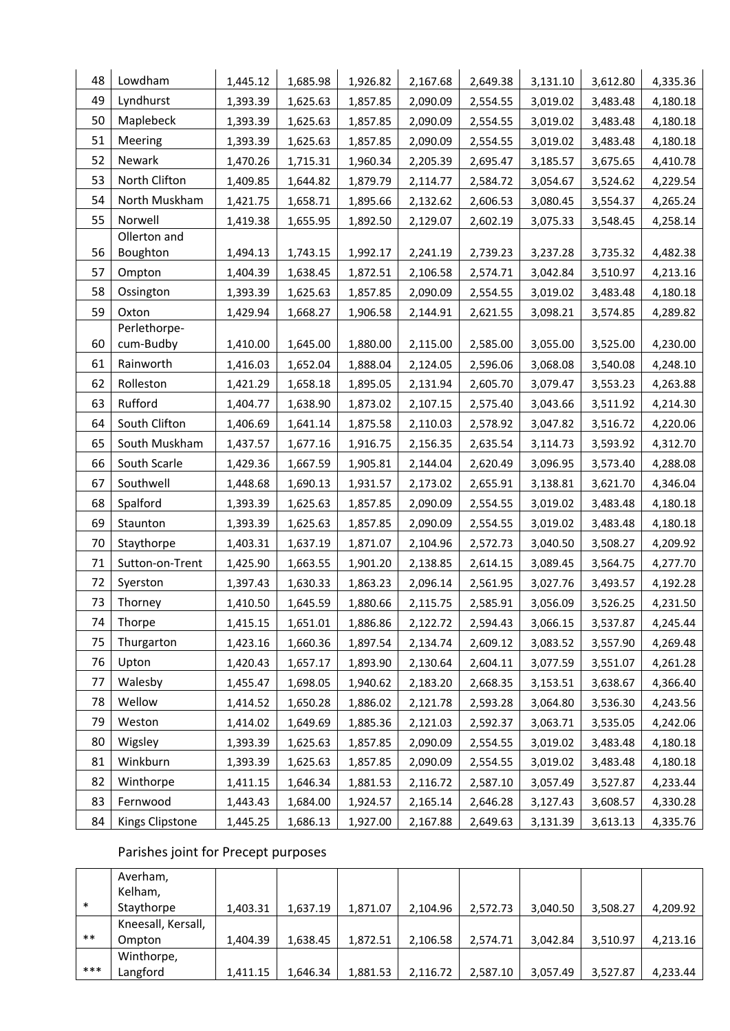| 48 | Lowdham                   | 1,445.12 | 1,685.98 | 1,926.82 | 2,167.68 | 2,649.38 | 3,131.10 | 3,612.80 | 4,335.36 |
|----|---------------------------|----------|----------|----------|----------|----------|----------|----------|----------|
| 49 | Lyndhurst                 | 1,393.39 | 1,625.63 | 1,857.85 | 2,090.09 | 2,554.55 | 3,019.02 | 3,483.48 | 4,180.18 |
| 50 | Maplebeck                 | 1,393.39 | 1,625.63 | 1,857.85 | 2,090.09 | 2,554.55 | 3,019.02 | 3,483.48 | 4,180.18 |
| 51 | Meering                   | 1,393.39 | 1,625.63 | 1,857.85 | 2,090.09 | 2,554.55 | 3,019.02 | 3,483.48 | 4,180.18 |
| 52 | Newark                    | 1,470.26 | 1,715.31 | 1,960.34 | 2,205.39 | 2,695.47 | 3,185.57 | 3,675.65 | 4,410.78 |
| 53 | North Clifton             | 1,409.85 | 1,644.82 | 1,879.79 | 2,114.77 | 2,584.72 | 3,054.67 | 3,524.62 | 4,229.54 |
| 54 | North Muskham             | 1,421.75 | 1,658.71 | 1,895.66 | 2,132.62 | 2,606.53 | 3,080.45 | 3,554.37 | 4,265.24 |
| 55 | Norwell                   | 1,419.38 | 1,655.95 | 1,892.50 | 2,129.07 | 2,602.19 | 3,075.33 | 3,548.45 | 4,258.14 |
|    | Ollerton and              |          |          |          |          |          |          |          |          |
| 56 | Boughton                  | 1,494.13 | 1,743.15 | 1,992.17 | 2,241.19 | 2,739.23 | 3,237.28 | 3,735.32 | 4,482.38 |
| 57 | Ompton                    | 1,404.39 | 1,638.45 | 1,872.51 | 2,106.58 | 2,574.71 | 3,042.84 | 3,510.97 | 4,213.16 |
| 58 | Ossington                 | 1,393.39 | 1,625.63 | 1,857.85 | 2,090.09 | 2,554.55 | 3,019.02 | 3,483.48 | 4,180.18 |
| 59 | Oxton                     | 1,429.94 | 1,668.27 | 1,906.58 | 2,144.91 | 2,621.55 | 3,098.21 | 3,574.85 | 4,289.82 |
| 60 | Perlethorpe-<br>cum-Budby | 1,410.00 | 1,645.00 | 1,880.00 | 2,115.00 | 2,585.00 | 3,055.00 | 3,525.00 | 4,230.00 |
| 61 | Rainworth                 | 1,416.03 | 1,652.04 | 1,888.04 | 2,124.05 | 2,596.06 | 3,068.08 | 3,540.08 | 4,248.10 |
| 62 | Rolleston                 | 1,421.29 | 1,658.18 | 1,895.05 | 2,131.94 | 2,605.70 | 3,079.47 | 3,553.23 | 4,263.88 |
| 63 | Rufford                   | 1,404.77 | 1,638.90 | 1,873.02 | 2,107.15 | 2,575.40 | 3,043.66 | 3,511.92 | 4,214.30 |
| 64 | South Clifton             | 1,406.69 | 1,641.14 | 1,875.58 | 2,110.03 | 2,578.92 | 3,047.82 | 3,516.72 | 4,220.06 |
| 65 | South Muskham             | 1,437.57 | 1,677.16 | 1,916.75 | 2,156.35 | 2,635.54 | 3,114.73 | 3,593.92 | 4,312.70 |
| 66 | South Scarle              | 1,429.36 | 1,667.59 | 1,905.81 | 2,144.04 | 2,620.49 | 3,096.95 | 3,573.40 | 4,288.08 |
| 67 | Southwell                 | 1,448.68 | 1,690.13 | 1,931.57 | 2,173.02 | 2,655.91 | 3,138.81 | 3,621.70 | 4,346.04 |
| 68 | Spalford                  | 1,393.39 | 1,625.63 | 1,857.85 | 2,090.09 | 2,554.55 | 3,019.02 | 3,483.48 | 4,180.18 |
| 69 | Staunton                  | 1,393.39 | 1,625.63 | 1,857.85 | 2,090.09 | 2,554.55 | 3,019.02 | 3,483.48 | 4,180.18 |
| 70 | Staythorpe                | 1,403.31 | 1,637.19 | 1,871.07 | 2,104.96 | 2,572.73 | 3,040.50 | 3,508.27 | 4,209.92 |
| 71 | Sutton-on-Trent           | 1,425.90 | 1,663.55 | 1,901.20 | 2,138.85 | 2,614.15 | 3,089.45 | 3,564.75 | 4,277.70 |
| 72 | Syerston                  | 1,397.43 | 1,630.33 | 1,863.23 | 2,096.14 | 2,561.95 | 3,027.76 | 3,493.57 | 4,192.28 |
| 73 | Thorney                   | 1,410.50 | 1,645.59 | 1,880.66 | 2,115.75 | 2,585.91 | 3,056.09 | 3,526.25 | 4,231.50 |
| 74 | Thorpe                    | 1,415.15 | 1,651.01 | 1,886.86 | 2,122.72 | 2,594.43 | 3,066.15 | 3,537.87 | 4,245.44 |
| 75 | Thurgarton                | 1,423.16 | 1,660.36 | 1,897.54 | 2,134.74 | 2,609.12 | 3,083.52 | 3,557.90 | 4,269.48 |
| 76 | Upton                     | 1,420.43 | 1,657.17 | 1,893.90 | 2,130.64 | 2,604.11 | 3,077.59 | 3,551.07 | 4,261.28 |
| 77 | Walesby                   | 1,455.47 | 1,698.05 | 1,940.62 | 2,183.20 | 2,668.35 | 3,153.51 | 3,638.67 | 4,366.40 |
| 78 | Wellow                    | 1,414.52 | 1,650.28 | 1,886.02 | 2,121.78 | 2,593.28 | 3,064.80 | 3,536.30 | 4,243.56 |
| 79 | Weston                    | 1,414.02 | 1,649.69 | 1,885.36 | 2,121.03 | 2,592.37 | 3,063.71 | 3,535.05 | 4,242.06 |
| 80 | Wigsley                   | 1,393.39 | 1,625.63 | 1,857.85 | 2,090.09 | 2,554.55 | 3,019.02 | 3,483.48 | 4,180.18 |
| 81 | Winkburn                  | 1,393.39 | 1,625.63 | 1,857.85 | 2,090.09 | 2,554.55 | 3,019.02 | 3,483.48 | 4,180.18 |
| 82 | Winthorpe                 | 1,411.15 | 1,646.34 | 1,881.53 | 2,116.72 | 2,587.10 | 3,057.49 | 3,527.87 | 4,233.44 |
| 83 | Fernwood                  | 1,443.43 | 1,684.00 | 1,924.57 | 2,165.14 | 2,646.28 | 3,127.43 | 3,608.57 | 4,330.28 |
| 84 | Kings Clipstone           | 1,445.25 | 1,686.13 | 1,927.00 | 2,167.88 | 2,649.63 | 3,131.39 | 3,613.13 | 4,335.76 |

# Parishes joint for Precept purposes

|        | Averham,<br>Kelham, |          |          |          |          |          |          |          |          |
|--------|---------------------|----------|----------|----------|----------|----------|----------|----------|----------|
| $\ast$ | Staythorpe          | 1,403.31 | 1,637.19 | 1,871.07 | 2,104.96 | 2,572.73 | 3,040.50 | 3,508.27 | 4,209.92 |
|        | Kneesall, Kersall,  |          |          |          |          |          |          |          |          |
| $***$  | Ompton              | 1,404.39 | 1,638.45 | 1,872.51 | 2,106.58 | 2,574.71 | 3,042.84 | 3,510.97 | 4,213.16 |
|        | Winthorpe,          |          |          |          |          |          |          |          |          |
| ***    | Langford            | 1,411.15 | 1.646.34 | 1,881.53 | 2,116.72 | 2,587.10 | 3,057.49 | 3,527.87 | 4,233.44 |